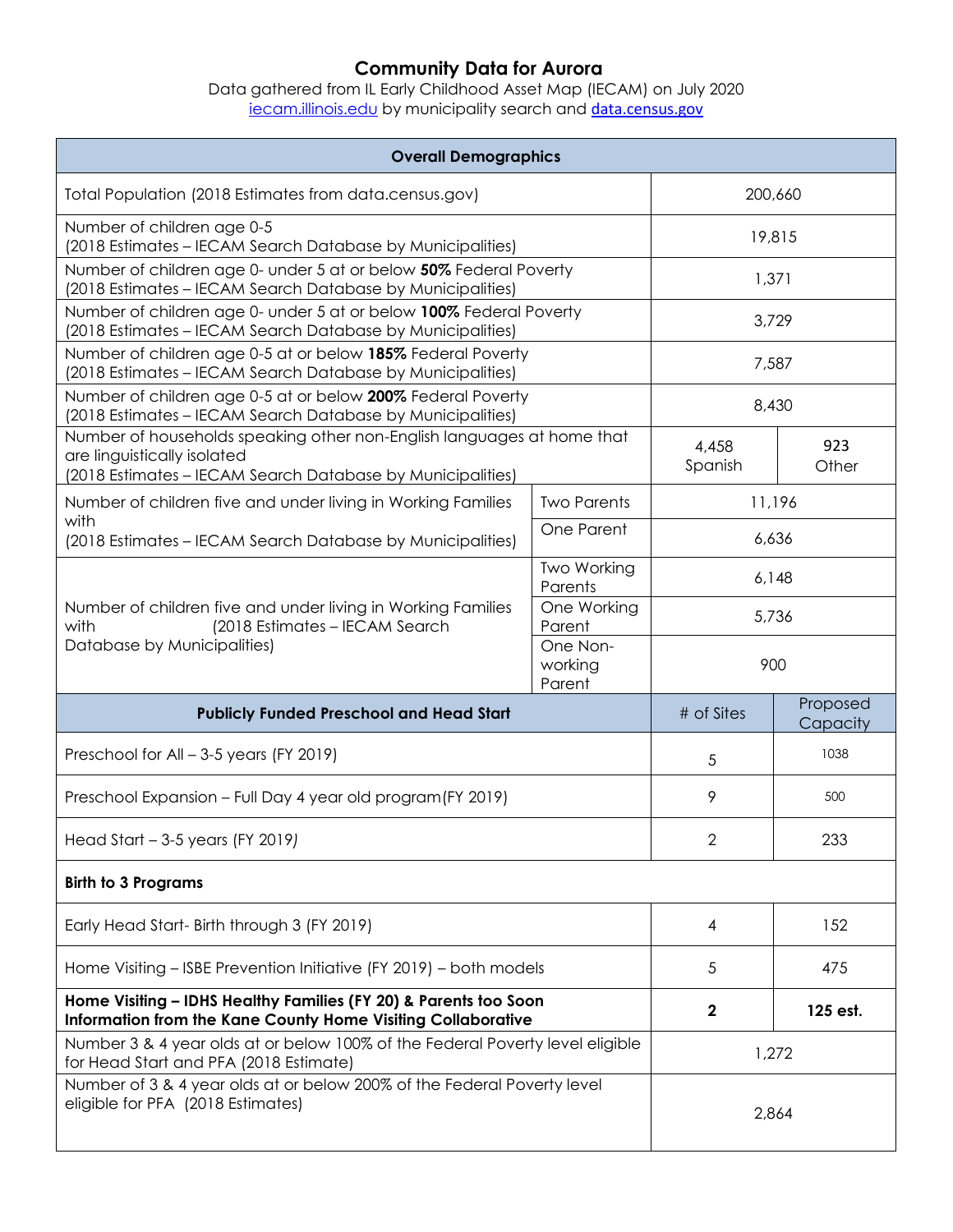## **Community Data for Aurora**

Data gathered from IL Early Childhood Asset Map (IECAM) on July 2020 <u>[iecam.illinois.edu](http://iecam.illinois.edu/)</u> by municipality search and <u>[data.census.gov](https://data.census.gov/cedsci/)</u>

| <b>Overall Demographics</b>                                                                                                                                         |                               |                  |                      |  |  |
|---------------------------------------------------------------------------------------------------------------------------------------------------------------------|-------------------------------|------------------|----------------------|--|--|
| Total Population (2018 Estimates from data.census.gov)                                                                                                              |                               | 200,660          |                      |  |  |
| Number of children age 0-5<br>(2018 Estimates - IECAM Search Database by Municipalities)                                                                            |                               | 19,815           |                      |  |  |
| Number of children age 0- under 5 at or below 50% Federal Poverty<br>(2018 Estimates - IECAM Search Database by Municipalities)                                     |                               | 1,371            |                      |  |  |
| Number of children age 0- under 5 at or below 100% Federal Poverty<br>(2018 Estimates - IECAM Search Database by Municipalities)                                    |                               | 3,729            |                      |  |  |
| Number of children age 0-5 at or below 185% Federal Poverty<br>(2018 Estimates - IECAM Search Database by Municipalities)                                           |                               | 7,587            |                      |  |  |
| Number of children age 0-5 at or below 200% Federal Poverty<br>(2018 Estimates - IECAM Search Database by Municipalities)                                           |                               | 8,430            |                      |  |  |
| Number of households speaking other non-English languages at home that<br>are linguistically isolated<br>(2018 Estimates - IECAM Search Database by Municipalities) |                               | 4,458<br>Spanish | 923<br>Other         |  |  |
| Number of children five and under living in Working Families                                                                                                        | <b>Two Parents</b>            | 11,196           |                      |  |  |
| with<br>(2018 Estimates – IECAM Search Database by Municipalities)                                                                                                  | One Parent                    | 6,636            |                      |  |  |
| Number of children five and under living in Working Families<br>with<br>(2018 Estimates - IECAM Search<br>Database by Municipalities)                               | Two Working<br>Parents        | 6,148            |                      |  |  |
|                                                                                                                                                                     | One Working<br>Parent         | 5,736            |                      |  |  |
|                                                                                                                                                                     | One Non-<br>working<br>Parent | 900              |                      |  |  |
| <b>Publicly Funded Preschool and Head Start</b>                                                                                                                     |                               | # of Sites       | Proposed<br>Capacity |  |  |
| Preschool for All - 3-5 years (FY 2019)                                                                                                                             |                               | 5                | 1038                 |  |  |
| Preschool Expansion - Full Day 4 year old program (FY 2019)                                                                                                         |                               | 9                | 500                  |  |  |
| Head Start $-3-5$ years (FY 2019)                                                                                                                                   |                               | 2                | 233                  |  |  |
| <b>Birth to 3 Programs</b>                                                                                                                                          |                               |                  |                      |  |  |
| Early Head Start- Birth through 3 (FY 2019)                                                                                                                         |                               | 4                | 152                  |  |  |
| Home Visiting - ISBE Prevention Initiative (FY 2019) - both models                                                                                                  |                               | 5                | 475                  |  |  |
| Home Visiting - IDHS Healthy Families (FY 20) & Parents too Soon<br>Information from the Kane County Home Visiting Collaborative                                    |                               | $\boldsymbol{2}$ | 125 est.             |  |  |
| Number 3 & 4 year olds at or below 100% of the Federal Poverty level eligible<br>for Head Start and PFA (2018 Estimate)                                             |                               | 1,272            |                      |  |  |
| Number of 3 & 4 year olds at or below 200% of the Federal Poverty level<br>eligible for PFA (2018 Estimates)                                                        |                               | 2,864            |                      |  |  |